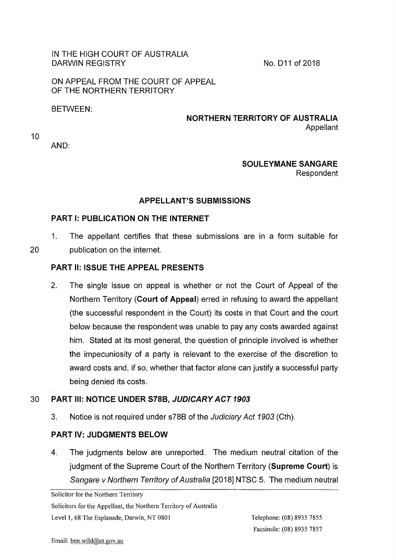## IN THE HIGH COURT OF AUSTRALIA DARWIN REGISTRY

No. D11 of 2018

ON APPEAL FROM THE COURT OF APPEAL OF THE NORTHERN TERRITORY

BETWEEN:

# **NORTHERN TERRITORY OF AUSTRALIA**  Appellant

10

AND:

### **SOULEYMANESANGARE**  Respondent

# **APPELLANT'S SUBMISSIONS**

# **PART I: PUBLICATION ON THE INTERNET**

1. The appellant certifies that these submissions are in a form suitable for 20 publication on the internet.

# **PART II: ISSUE THE APPEAL PRESENTS**

2. The single issue on appeal is whether or not the Court of Appeal of the Northern Territory **(Court of Appeal)** erred in refusing to award the appellant (the successful respondent in the Court) its costs in that Court and the court below because the respondent was unable to pay any costs awarded against him. Stated at its most general, the question of principle involved is whether the impecuniosity of a party is relevant to the exercise of the discretion to award costs and, if so, whether that factor alone can justify a successful party being denied its costs.

### 30 **PART Ill: NOTICE UNDER S78B, JUDICARY ACT 1903**

3. Notice is not required under s78B of the Judiciary Act 1903 (Cth).

# **PART** IV: **JUDGMENTS BELOW**

4. The judgments below are unreported. The medium neutral citation of the judgment of the Supreme Court of the Northern Territory **(Supreme Court)** is Sangare v Northern Territory of Australia [2018] NTSC 5. The medium neutral

Solicitor for the Northern Territory

Solicitors for the Appellant, the Northern Territory of Australia

Level 1, 68 The Esplanade, Darwin, NT 0801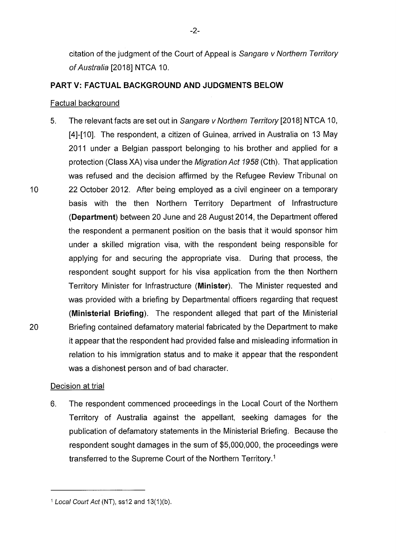citation of the judgment of the Court of Appeal is Sangare v Northern Territory of Australia [2018] NTCA 10.

### **PART V: FACTUAL BACKGROUND AND JUDGMENTS BELOW**

#### Factual background

5. The relevant facts are set out in Sangare v Northern Territory [2018] NTCA 10, [4]-[10]. The respondent, a citizen of Guinea, arrived in Australia on 13 May 2011 under a Belgian passport belonging to his brother and applied for a protection (Class XA) visa under the Migration Act 1958 (Cth). That application was refused and the decision affirmed by the Refugee Review Tribunal on 10 22 October 2012. After being employed as a civil engineer on a temporary basis with the then Northern Territory Department of Infrastructure **(Department)** between 20 June and 28 August 2014, the Department offered the respondent a permanent position on the basis that it would sponsor him under a skilled migration visa, with the respondent being responsible for applying for and securing the appropriate visa. During that process, the respondent sought support for his visa application from the then Northern Territory Minister for Infrastructure **(Minister).** The Minister requested and was provided with a briefing by Departmental officers regarding that request **(Ministerial Briefing).** The respondent alleged that part of the Ministerial 20 Briefing contained defamatory material fabricated by the Department to make it appear that the respondent had provided false and misleading information in relation to his immigration status and to make it appear that the respondent was a dishonest person and of bad character.

### Decision at trial

6. The respondent commenced proceedings in the Local Court of the Northern Territory of Australia against the appellant, seeking damages for the publication of defamatory statements in the Ministerial Briefing. Because the respondent sought damages in the sum of \$5,000,000, the proceedings were transferred to the Supreme Court of the Northern Territory. <sup>1</sup>

<sup>1</sup> Local Court Act (NT), ss12 and 13(1)(b).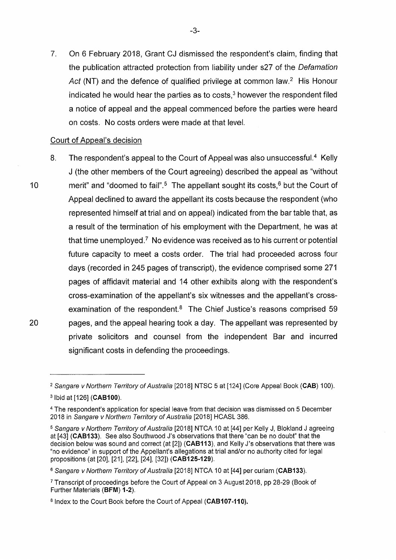7. On 6 February 2018, Grant CJ dismissed the respondent's claim, finding that the publication attracted protection from liability under s27 of the Defamation Act (NT) and the defence of qualified privilege at common law.<sup>2</sup> His Honour indicated he would hear the parties as to costs. $3$  however the respondent filed a notice of appeal and the appeal commenced before the parties were heard on costs. No costs orders were made at that level.

### Court of Appeal's decision

8. The respondent's appeal to the Court of Appeal was also unsuccessful.<sup>4</sup> Kelly J (the other members of the Court agreeing) described the appeal as "without 10 merit" and "doomed to fail".<sup>5</sup> The appellant sought its costs,  $6$  but the Court of Appeal declined to award the appellant its costs because the respondent (who represented himself at trial and on appeal) indicated from the bar table that, as a result of the termination of his employment with the Department, he was at that time unemployed.? No evidence was received as to his current or potential future capacity to meet a costs order. The trial had proceeded across four days (recorded in 245 pages of transcript), the evidence comprised some 271 pages of affidavit material and 14 other exhibits along with the respondent's cross-examination of the appellant's six witnesses and the appellant's crossexamination of the respondent. $8$  The Chief Justice's reasons comprised 59 20 pages, and the appeal hearing took a day. The appellant was represented by private solicitors and counsel from the independent Bar and incurred significant costs in defending the proceedings.

<sup>&</sup>lt;sup>2</sup> Sangare v Northern Territory of Australia [2018] NTSC 5 at [124] (Core Appeal Book (CAB) 100). <sup>3</sup> 1bid at [126] **(CAB100).** 

<sup>4</sup>The respondent's application for special leave from that decision was dismissed on 5 December 2018 in Sangare v Northern Territory of Australia [2018] HCASL 386.

<sup>&</sup>lt;sup>5</sup> Sangare v Northern Territory of Australia [2018] NTCA 10 at [44] per Kelly J, Blokland J agreeing at [43] **(CAB133).** See also Southwood J's observations that there "can be no doubt" that the decision below was sound and correct (at [2]) **(CAB113),** and Kelly J's observations that there was "no evidence" in support of the Appellant's allegations at trial and/or no authority cited for legal propositions (at [20], [21], [22], [24], [32]) **(CAB125-129).** 

<sup>&</sup>lt;sup>6</sup> Sangare v Northern Territory of Australia [2018] NTCA 10 at [44] per curiam (CAB133).

<sup>7</sup>Transcript of proceedings before the Court of Appeal on 3 August 2018, pp 28-29 (Book of Further Materials **(BFM) 1-2).** 

<sup>&</sup>lt;sup>8</sup> Index to the Court Book before the Court of Appeal (CAB107-110).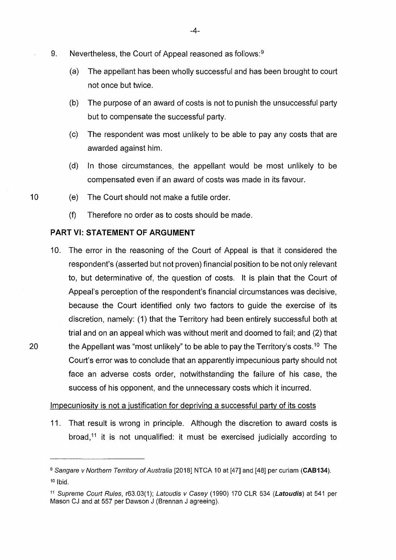- 9. Nevertheless, the Court of Appeal reasoned as follows:<sup>9</sup>
	- (a) The appellant has been wholly successful and has been brought to court not once but twice.
	- (b) The purpose of an award of costs is not to punish the unsuccessful party but to compensate the successful party.
	- (c) The respondent was most unlikely to be able to pay any costs that are awarded against him.
	- (d) In those circumstances, the appellant would be most unlikely to be compensated even if an award of costs was made in its favour.
- 10 (e) The Court should not make a futile order.
	- (f) Therefore no order as to costs should be made.

### **PART VI: STATEMENT OF ARGUMENT**

10. The error in the reasoning of the Court of Appeal is that it considered the respondent's (asserted but not proven) financial position to be not only relevant to, but determinative of, the question of costs. It is plain that the Court of Appeal's perception of the respondent's financial circumstances was decisive, because the Court identified only two factors to guide the exercise of its discretion, namely: (1) that the Territory had been entirely successful both at trial and on an appeal which was without merit and doomed to fail; and (2) that 20 the Appellant was "most unlikely" to be able to pay the Territory's costs.<sup>10</sup> The Court's error was to conclude that an apparently impecunious party should not face an adverse costs order, notwithstanding the failure of his case, the success of his opponent, and the unnecessary costs which it incurred.

### Impecuniosity is not a justification for depriving a successful party of its costs

11. That result is wrong in principle. Although the discretion to award costs is broad, $11$  it is not unqualified: it must be exercised judicially according to

<sup>&</sup>lt;sup>9</sup> Sangare v Northern Territory of Australia [2018] NTCA 10 at [47] and [48] per curiam (CAB134).  $10$  Ibid.

<sup>&</sup>lt;sup>11</sup> Supreme Court Rules, r63.03(1); Latoudis v Casey (1990) 170 CLR 534 (Latoudis) at 541 per Mason CJ and at 557 per Dawson J (Brennan J agreeing).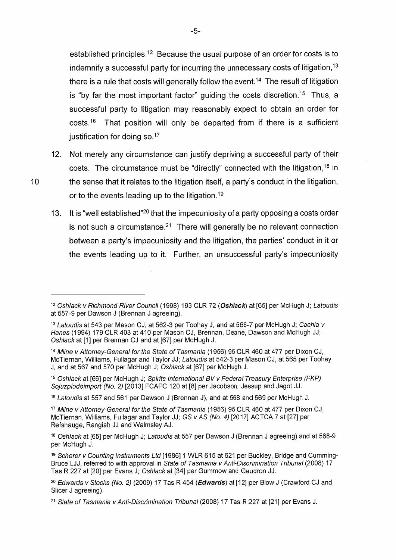established principles.<sup>12</sup> Because the usual purpose of an order for costs is to indemnify a successful party for incurring the unnecessary costs of litigation,  $13$ there is a rule that costs will generally follow the event.<sup>14</sup> The result of litigation is "by far the most important factor" guiding the costs discretion.<sup>15</sup> Thus, a successful party to litigation may reasonably expect to obtain an order for costs.<sup>16</sup> That position will only be departed from if there is a sufficient justification for doing so. $17$ 

- 12. Not merely any circumstance can justify depriving a successful party of their costs. The circumstance must be "directly" connected with the litigation, 18 in 10 the sense that it relates to the litigation itself, a party's conduct in the litigation, or to the events leading up to the litigation. <sup>19</sup>
	- 13. It is "well established"<sup>20</sup> that the impecuniosity of a party opposing a costs order is not such a circumstance. $21$  There will generally be no relevant connection between a party's impecuniosity and the litigation, the parties' conduct in it or the events leading up to it. Further, an unsuccessful party's impecuniosity

<sup>16</sup> Latoudis at 557 and 561 per Dawson J (Brennan J), and at 568 and 569 per McHugh J.

<sup>17</sup> Milne v Attorney-General for the State of Tasmania (1956) 95 CLR 460 at 477 per Dixon CJ, McTiernan, Williams, Fullagar and Taylor JJ; GS vAS (No.4) [2017] ACTCA 7 at [27] per Refshauge, Rangiah JJ and Walmsley AJ.

<sup>19</sup> Scherer v Counting Instruments Ltd [1986] 1 WLR 615 at 621 per Buckley, Bridge and Cumming-Bruce LJJ, referred to with approval in State of Tasmania v Anti-Discrimination Tribunal (2008) 17 Tas R 227 at [20] per Evans J; Oshlack at [34] per Gummow and Gaudron JJ.

<sup>20</sup> Edwards v Stocks (No. 2) (2009) 17 Tas R 454 (Edwards) at [12] per Blow J (Crawford CJ and Slicer J agreeing).

<sup>&</sup>lt;sup>12</sup> Oshlack v Richmond River Council (1998) 193 CLR 72 (Oshlack) at [65] per McHugh J; Latoudis at 557-9 per Dawson J (Brennan J agreeing).

<sup>&</sup>lt;sup>13</sup> Latoudis at 543 per Mason CJ, at 562-3 per Toohey J, and at 566-7 per McHugh J; Cachia v Hanes (1994) 179 CLR 403 at 410 per Mason CJ, Brennan, Deane, Dawson and McHugh JJ; Oshlack at [1] per Brennan CJ and at [67] per McHugh J.

<sup>14</sup> Milne v Attorney-General for the State of Tasmania (1956) 95 CLR 460 at 477 per Dixon CJ, McTiernan, Williams, Fullagar and Taylor JJ; Latoudis at 542-3 per Mason CJ, at 565 per Toohey J, and at 567 and 570 per McHugh J; Oshlack at [67] per McHugh J.

<sup>&</sup>lt;sup>15</sup> Oshlack at [66] per McHugh J; Spirits International BV v Federal Treasury Enterprise (FKP) Sojuzplodoimport (No.2) [2013] FCAFC 120 at [8] per Jacobson, Jessup and Jagot JJ.

<sup>&</sup>lt;sup>18</sup> Oshlack at [65] per McHugh J; Latoudis at 557 per Dawson J (Brennan J agreeing) and at 568-9 per McHugh J.

<sup>&</sup>lt;sup>21</sup> State of Tasmania v Anti-Discrimination Tribunal (2008) 17 Tas R 227 at [21] per Evans J.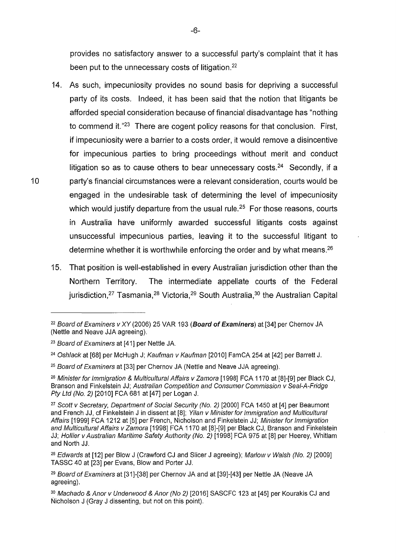provides no satisfactory answer to a successful party's complaint that it has been put to the unnecessary costs of litigation.<sup>22</sup>

- 14. As such, impecuniosity provides no sound basis for depriving a successful party of its costs. Indeed, it has been said that the notion that litigants be afforded special consideration because of financial disadvantage has "nothing to commend it."23 There are cogent policy reasons for that conclusion. First, if impecuniosity were a barrier to a costs order, it would remove a disincentive for impecunious parties to bring proceedings without merit and conduct litigation so as to cause others to bear unnecessary costs.<sup>24</sup> Secondly, if a 10 party's financial circumstances were a relevant consideration, courts would be engaged in the undesirable task of determining the level of impecuniosity which would justify departure from the usual rule.<sup>25</sup> For those reasons, courts in Australia have uniformly awarded successful litigants costs against unsuccessful impecunious parties, leaving it to the successful litigant to determine whether it is worthwhile enforcing the order and by what means.<sup>26</sup>
	- 15. That position is well-established in every Australian jurisdiction other than the Northern Territory. The intermediate appellate courts of the Federal jurisdiction,<sup>27</sup> Tasmania, <sup>28</sup> Victoria, <sup>29</sup> South Australia, <sup>30</sup> the Australian Capital

<sup>&</sup>lt;sup>22</sup> Board of Examiners v XY (2006) 25 VAR 193 (**Board of Examiners**) at [34] per Chernov JA (Nettle and Neave JJA agreeing).

<sup>&</sup>lt;sup>23</sup> Board of Examiners at [41] per Nettle JA.

<sup>24</sup>Oshlack at [68] per McHugh J; Kaufman *v* Kaufman [2010] FamCA 254 at [42] per Barrett J.

<sup>&</sup>lt;sup>25</sup> Board of Examiners at [33] per Chernov JA (Nettle and Neave JJA agreeing).

<sup>26</sup>Minister for Immigration & Multicultural Affairs *v* Zamora [1998] FCA 1170 at [8]-[9] per Black CJ, Branson and Finkelstein JJ; Australian Competition and Consumer Commission *v* Seal-A-Fridge Pty Ltd (No.2) [2010] FCA 681 at [47] per Logan J.

<sup>&</sup>lt;sup>27</sup> Scott v Secretary, Department of Social Security (No. 2) [2000] FCA 1450 at [4] per Beaumont and French JJ, cf Finkelstein J in dissent at [8]; Yilan v Minister for Immigration and Multicultural Affairs [1999] FCA 1212 at [5] per French, Nicholson and Finkelstein JJ; Minister for Immigration and Multicultural Affairs v Zamora [1998] FCA 1170 at [8]-[9] per Black CJ, Branson and Finkelstein JJ; Hollier v Australian Maritime Safety Authority (No. 2) [1998] FCA 975 at [8] per Heerey, Whitlam and North JJ.

<sup>&</sup>lt;sup>28</sup> Edwards at [12] per Blow J (Crawford CJ and Slicer J agreeing); Marlow v Walsh (No. 2) [2009] TASSC 40 at [23] per Evans, Blow and Porter JJ.

<sup>&</sup>lt;sup>29</sup> Board of Examiners at [31]-[38] per Chernov JA and at [39]-[43] per Nettle JA (Neave JA agreeing).

<sup>30</sup> Machado & Anor v Underwood & Anor (No 2) [2016] SASCFC 123 at [45] per Kourakis CJ and Nicholson J (Gray J dissenting, but not on this point).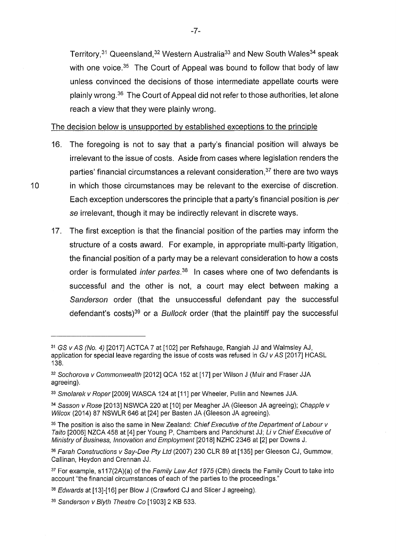Territory,<sup>31</sup> Queensland,<sup>32</sup> Western Australia<sup>33</sup> and New South Wales<sup>34</sup> speak with one voice.  $35$  The Court of Appeal was bound to follow that body of law unless convinced the decisions of those intermediate appellate courts were plainly wrong.<sup>36</sup> The Court of Appeal did not refer to those authorities, let alone reach a view that they were plainly wrong.

The decision below is unsupported by established exceptions to the principle

- 16. The foregoing is not to say that a party's financial position will always be irrelevant to the issue of costs. Aside from cases where legislation renders the parties' financial circumstances a relevant consideration, $37$  there are two ways 10 in which those circumstances may be relevant to the exercise of discretion. Each exception underscores the principle that a party's financial position is per se irrelevant, though it may be indirectly relevant in discrete ways.
	- 17. The first exception is that the financial position of the parties may inform the structure of a costs award. For example, in appropriate multi-party litigation, the financial position of a party may be a relevant consideration to how a costs order is formulated *inter partes*.<sup>38</sup> In cases where one of two defendants is successful and the other is not, a court may elect between making a Sanderson order (that the unsuccessful defendant pay the successful defendant's costs)<sup>39</sup> or a *Bullock* order (that the plaintiff pay the successful

<sup>31</sup>GS vAS (No.4) [2017] ACTCA 7 at [102] per Refshauge, Rangiah JJ and Walmsley AJ, application for special leave regarding the issue of costs was refused in GJ v AS [2017] HCASL 138.

<sup>&</sup>lt;sup>32</sup> Sochorova v Commonwealth [2012] QCA 152 at [17] per Wilson J (Muir and Fraser JJA agreeing).

<sup>33</sup> Smolarek v Roper [2009] WASCA 124 at [11] per Wheeler, Pullin and Newnes JJA.

<sup>34</sup> Sasson v Rose [2013] NSWCA 220 at [10] per Meagher JA (Gleeson JA agreeing); Chapple v Wilcox (2014) 87 NSWLR 646 at [24] per Basten JA (Gleeson JA agreeing).

<sup>&</sup>lt;sup>35</sup> The position is also the same in New Zealand: Chief Executive of the Department of Labour v Taito [2006] NZCA 458 at [4] per Young P, Chambers and Panckhurst JJ; *Li* v Chief Executive of Ministry of Business, Innovation and Employment [2018] NZHC 2346 at [2] per Downs J.

<sup>36</sup> Farah Constructions v Say-Dee Pty Ltd (2007) 230 CLR 89 at [135] per Gleeson CJ, Gummow, Callinan, Heydon and Grennan JJ.

 $37$  For example, s117(2A)(a) of the Family Law Act 1975 (Cth) directs the Family Court to take into account "the financial circumstances of each of the parties to the proceedings."

<sup>38</sup> Edwards at [13]-[16] per Blow J (Crawford CJ and Slicer J agreeing).

<sup>39</sup> Sanderson v Blyth Theatre Co [1903] 2 KB 533.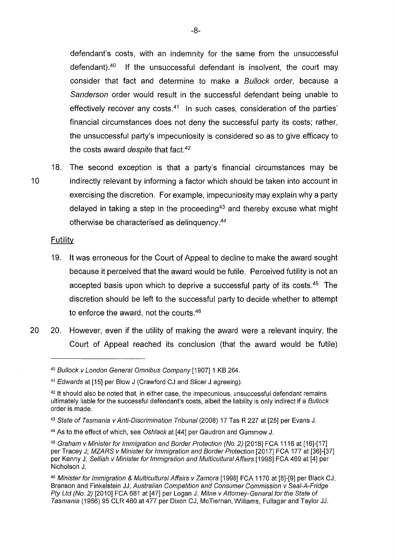defendant's costs, with an indemnity for the same from the unsuccessful defendant).40 If the unsuccessful defendant is insolvent, the court may consider that fact and determine to make a Bullock order, because a Sanderson order would result in the successful defendant being unable to effectively recover any costs. $41$  In such cases, consideration of the parties' financial circumstances does not deny the successful party its costs; rather, the unsuccessful party's impecuniosity is considered so as to give efficacy to the costs award *despite* that fact.<sup>42</sup>

18. The second exception is that a party's financial circumstances may be 10 indirectly relevant by informing a factor which should be taken into account in exercising the discretion. For example, impecuniosity may explain why a party delayed in taking a step in the proceeding<sup>43</sup> and thereby excuse what might otherwise be characterised as delinquency.<sup>44</sup>

#### Futility

- 19. It was erroneous for the Court of Appeal to decline to make the award sought because it perceived that the award would be futile. Perceived futility is not an accepted basis upon which to deprive a successful party of its costs.  $45$  The discretion should be left to the successful party to decide whether to attempt to enforce the award, not the courts. <sup>46</sup>
- 20 20. However, even if the utility of making the award were a relevant inquiry, the Court of Appeal reached its conclusion (that the award would be futile)

<sup>&</sup>lt;sup>40</sup> Bullock v London General Omnibus Company [1907] 1 KB 264.

<sup>&</sup>lt;sup>41</sup> Edwards at [15] per Blow J (Crawford CJ and Slicer J agreeing).

 $42$  It should also be noted that, in either case, the impecunious, unsuccessful defendant remains ultimately liable for the successful defendant's costs, albeit the liability is only indirect if a Bullock order is made.

<sup>43</sup> State of Tasmania v Anti-Discrimination Tribunal (2008) 17 Tas R 227 at [25] per Evans J.

<sup>&</sup>lt;sup>44</sup> As to the effect of which, see Oshlack at [44] per Gaudron and Gummow J.

<sup>45</sup>Graham v Minister for Immigration and Border Protection (No. 2) [2018] FCA 1116 at [16]-[17] per Tracey J; MZARS v Minister for Immigration and Border Protection [2017] FCA 177 at [36]-[37] per Kenny J; Selliah v Minister for Immigration and Multicultural Affairs [1998] FCA 469 at [4] per Nicholson J.

<sup>46</sup> Minister for Immigration & Multicultural Affairs v Zamora [1998] FCA 1170 at [8]-[9] per Black CJ, Branson and Finkelstein JJ; Australian Competition and Consumer Commission v Seal-A-Fridge Pty Ltd (No. 2) [2010] FCA 681 at [47] per Logan J; Milne v Attorney-General for the State of Tasmania (1956) 95 CLR 460 at 477 per Dixon CJ, McTiernan, Williams, Fullagar and Taylor JJ.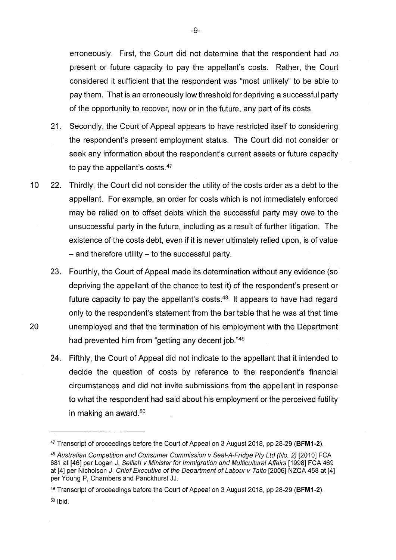erroneously. First, the Court did not determine that the respondent had *no*  present or future capacity to pay the appellant's costs. Rather, the Court considered it sufficient that the respondent was "most unlikely" to be able to pay them. That is an erroneously low threshold for depriving a successful party of the opportunity to recover, now or in the future, any part of its costs.

- 21. Secondly, the Court of Appeal appears to have restricted itself to considering the respondent's present employment status. The Court did not consider or seek any information about the respondent's current assets or future capacity to pay the appellant's costs.<sup>47</sup>
- 10 22. Thirdly, the Court did not consider the utility of the costs order as a debt to the appellant. For example, an order for costs which is not immediately enforced may be relied on to offset debts which the successful party may owe to the unsuccessful party in the future, including as a result of further litigation. The existence of the costs debt, even if it is never ultimately relied upon, is of value  $-$  and therefore utility  $-$  to the successful party.
- 23. Fourthly, the Court of Appeal made its determination without any evidence (so depriving the appellant of the chance to test it) of the respondent's present or future capacity to pay the appellant's costs.48 It appears to have had regard only to the respondent's statement from the bar table that he was at that time 20 unemployed and that the termination of his employment with the Department had prevented him from "getting any decent job."<sup>49</sup>
	- 24. Fifthly, the Court of Appeal did not indicate to the appellant that it intended to decide the question of costs by reference to the respondent's financial circumstances and did not invite submissions from the appellant in response to what the respondent had said about his employment or the perceived futility in making an award. <sup>50</sup>

<sup>47</sup>Transcript of proceedings before the Court of Appeal on 3 August 2018, pp 28-29 **(BFM1-2).** 

<sup>48</sup> Australian Competition and Consumer Commission v Seal-A-Fridge Pty Ltd (No. 2) [2010] FCA 681 at [46] per Logan J; Selliah v Minister for Immigration and Multicultural Affairs [1998] FCA 469 at [4] per Nicholson J; Chief Executive of the Department of Labour v Taito [2006] NZCA 458 at [4] per Young P, Chambers and Panckhurst JJ.

<sup>49</sup>Transcript of proceedings before the Court of Appeal on 3 August 2018, pp 28-29 **(BFM1-2).**  50 Ibid.